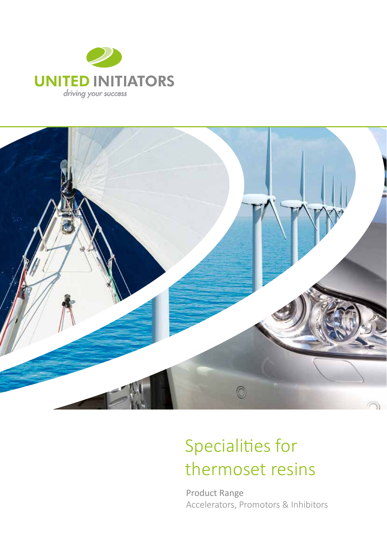



# Specialities for thermoset resins

Product Range Accelerators, Promotors & Inhibitors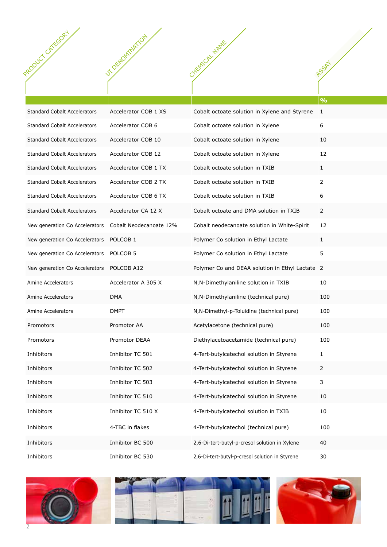| PRODUCT LATEGORY                                        | 1 OF NOVINSITION     | CYKEMICAL NAME                                  |                                  |
|---------------------------------------------------------|----------------------|-------------------------------------------------|----------------------------------|
|                                                         | $\mathcal{S}$        |                                                 | <b>ASSAY</b><br>$  \mathbf{0}/2$ |
| <b>Standard Cobalt Accelerators</b>                     | Accelerator COB 1 XS | Cobalt octoate solution in Xylene and Styrene 1 |                                  |
| <b>Standard Cobalt Accelerators</b>                     | Accelerator COB 6    | Cobalt octoate solution in Xylene               | $6\phantom{.}6$                  |
| <b>Standard Cobalt Accelerators</b>                     | Accelerator COB 10   | Cobalt octoate solution in Xylene               | 10                               |
| <b>Standard Cobalt Accelerators</b>                     | Accelerator COB 12   | Cobalt octoate solution in Xylene               | 12                               |
| <b>Standard Cobalt Accelerators</b>                     | Accelerator COB 1 TX | Cobalt octoate solution in TXIB                 | $\mathbf{1}$                     |
| <b>Standard Cobalt Accelerators</b>                     | Accelerator COB 2 TX | Cobalt octoate solution in TXIB                 | $\overline{2}$                   |
| <b>Standard Cobalt Accelerators</b>                     | Accelerator COB 6 TX | Cobalt octoate solution in TXIB                 | 6                                |
| <b>Standard Cobalt Accelerators</b>                     | Accelerator CA 12 X  | Cobalt octoate and DMA solution in TXIB         | $\overline{2}$                   |
| New generation Co Accelerators  Cobalt Neodecanoate 12% |                      | Cobalt neodecanoate solution in White-Spirit    | 12                               |
| New generation Co Accelerators  POLCOB 1                |                      | Polymer Co solution in Ethyl Lactate            | 1                                |
| New generation Co Accelerators POLCOB 5                 |                      | Polymer Co solution in Ethyl Lactate            | 5                                |
| New generation Co Accelerators  POLCOB A12              |                      | Polymer Co and DEAA solution in Ethyl Lactate 2 |                                  |
| Amine Accelerators                                      | Accelerator A 305 X  | N, N-Dimethylaniline solution in TXIB           | 10                               |
| <b>Amine Accelerators</b>                               | DMA                  | N, N-Dimethylaniline (technical pure)           | 100                              |
| Amine Accelerators                                      | <b>DMPT</b>          | N, N-Dimethyl-p-Toluidine (technical pure)      | 100                              |
| Promotors                                               | Promotor AA          | Acetylacetone (technical pure)                  | 100                              |
| Promotors                                               | Promotor DEAA        | Diethylacetoacetamide (technical pure)          | 100                              |
| Inhibitors                                              | Inhibitor TC 501     | 4-Tert-butylcatechol solution in Styrene        | $\mathbf{1}$                     |
| Inhibitors                                              | Inhibitor TC 502     | 4-Tert-butylcatechol solution in Styrene        | $\overline{2}$                   |
| Inhibitors                                              | Inhibitor TC 503     | 4-Tert-butylcatechol solution in Styrene        | $\overline{3}$                   |
| Inhibitors                                              | Inhibitor TC 510     | 4-Tert-butylcatechol solution in Styrene        | 10                               |
| Inhibitors                                              | Inhibitor TC 510 X   | 4-Tert-butylcatechol solution in TXIB           | 10                               |
| Inhibitors                                              | 4-TBC in flakes      | 4-Tert-butylcatechol (technical pure)           | 100                              |
| Inhibitors                                              | Inhibitor BC 500     | 2,6-Di-tert-butyl-p-cresol solution in Xylene   | 40                               |
| Inhibitors                                              | Inhibitor BC 530     | 2,6-Di-tert-butyl-p-cresol solution in Styrene  | 30                               |





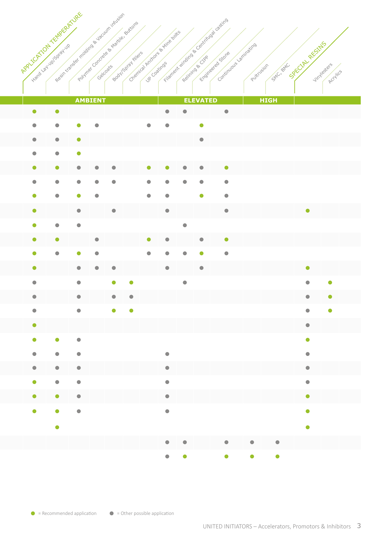| APPLYCATION TEMPERATURE | ivere la via Salvadia | Resin transfer moding & yourm intusion |                        |           |                         | Polymer on crée & thanks relitions<br>Chemica Anchors & Mine boxs<br>Boot15grainters | UP Coatings |                          |           |           | Filament winding & Centrifusal castings<br>Engineered Stone | Continuous Jaminating<br>Puttrysion | SAC, BAC  | SECTIVE RESIDS          | Vinylesters |
|-------------------------|-----------------------|----------------------------------------|------------------------|-----------|-------------------------|--------------------------------------------------------------------------------------|-------------|--------------------------|-----------|-----------|-------------------------------------------------------------|-------------------------------------|-----------|-------------------------|-------------|
|                         |                       |                                        |                        |           |                         |                                                                                      |             |                          |           |           |                                                             |                                     |           |                         | Accylics    |
|                         |                       | <b>AMBIENT</b>                         |                        |           | <b>ELEVATED</b>         |                                                                                      |             |                          |           |           | <b>HIGH</b>                                                 |                                     |           |                         |             |
| $\bullet$               |                       | $\bullet$                              |                        |           |                         |                                                                                      |             | $\bullet$                | $\bullet$ |           | $\bullet$                                                   |                                     |           |                         |             |
| $\bullet$               |                       | $\bullet$                              | $\bullet$              | $\bullet$ |                         |                                                                                      | $\bullet$   | $\bullet$                |           | $\bullet$ |                                                             |                                     |           |                         |             |
| $\bullet$               |                       | $\bullet$                              | $\bullet$              |           |                         |                                                                                      |             |                          |           | $\bullet$ |                                                             |                                     |           |                         |             |
| $\bullet$               |                       | $\bigodot$                             | $\bullet$              |           |                         |                                                                                      |             |                          |           |           |                                                             |                                     |           |                         |             |
| $\bullet$               |                       | a                                      | $\bullet$              | $\bullet$ | $\bullet$               |                                                                                      | $\bullet$   | $\bullet$                | $\bullet$ | $\bullet$ | $\bullet$                                                   |                                     |           |                         |             |
| $\bullet$               |                       |                                        |                        |           |                         |                                                                                      |             |                          |           |           | $\bullet$                                                   |                                     |           |                         |             |
|                         |                       |                                        |                        |           |                         |                                                                                      |             |                          |           | œ         | $\bullet$                                                   |                                     |           |                         |             |
| $\bullet$               |                       |                                        | $\bullet$              |           | $\bullet$               |                                                                                      |             | $\bullet$                |           |           | $\bullet$                                                   |                                     |           | $\bullet$               |             |
| $\bullet$               |                       | $\bullet$                              | $\bullet$              |           |                         |                                                                                      |             |                          | $\bullet$ |           |                                                             |                                     |           |                         |             |
| $\bullet$               |                       | $\bullet$                              |                        | $\bullet$ |                         |                                                                                      | $\bullet$   | $\bullet$                |           | $\bullet$ | $\bullet$                                                   |                                     |           |                         |             |
| $\bullet$               |                       | $\bullet$                              | $\bullet$              | $\bullet$ |                         |                                                                                      | $\bigodot$  | G                        | ٠         | О         | $\bullet$                                                   |                                     |           |                         |             |
| $\bullet$               |                       |                                        | $\bullet$              | $\bullet$ | $\bullet$               |                                                                                      |             | $\bullet$                |           | $\bullet$ |                                                             |                                     |           | $\bullet$               |             |
| $\bullet$               |                       |                                        | $\bullet$              |           | $\bullet$               | $\bullet$                                                                            |             |                          | $\bullet$ |           |                                                             |                                     |           |                         | G           |
| $\bullet$               |                       |                                        | $\bullet$              |           | $\qquad \qquad \bullet$ | $\bullet$                                                                            |             |                          |           |           |                                                             |                                     |           | $\bullet$               | $\bullet$   |
| $\bullet$               |                       |                                        | $\bullet$              |           | $\bullet$               | $\bullet$                                                                            |             |                          |           |           |                                                             |                                     |           |                         |             |
| $\bullet$               |                       |                                        |                        |           |                         |                                                                                      |             |                          |           |           |                                                             |                                     |           | $\bullet$               |             |
| $\bullet$               |                       | $\bullet$                              | $\bullet$              |           |                         |                                                                                      |             |                          |           |           |                                                             |                                     |           | $\bullet$               |             |
| $\bullet$               |                       | $\bullet$                              | $\bullet$              |           |                         |                                                                                      |             | $\bullet$                |           |           |                                                             |                                     |           | $\bullet$               |             |
| $\bullet$<br>$\bullet$  |                       | $\bullet$<br>$\bullet$                 | $\bullet$<br>$\bullet$ |           |                         |                                                                                      |             | $\bullet$<br>$\bullet$   |           |           |                                                             |                                     |           | $\bullet$<br>$\bigodot$ |             |
|                         | $\bullet$             | $\bullet$                              | $\bullet$              |           |                         |                                                                                      |             | $\bullet$                |           |           |                                                             |                                     |           | $\bullet$               |             |
| $\bullet$               |                       | $\bullet$                              |                        |           |                         |                                                                                      |             | $\bullet$                |           |           |                                                             |                                     |           | $\bullet$               |             |
|                         |                       |                                        | $\bullet$              |           |                         |                                                                                      |             |                          |           |           |                                                             |                                     |           |                         |             |
|                         |                       | $\bullet$                              |                        |           |                         |                                                                                      |             |                          |           |           |                                                             |                                     |           | $\bullet$               |             |
|                         |                       |                                        |                        |           |                         |                                                                                      |             | $\bullet \qquad \bullet$ |           |           | $\bullet$                                                   | $\bullet$                           | $\bullet$ |                         |             |
|                         |                       |                                        |                        |           |                         |                                                                                      |             | $\bullet \qquad \bullet$ |           |           | $\bullet$                                                   | $\bullet$                           | $\bullet$ |                         |             |

 $\bullet$  = Recommended application  $\bullet$  = Other possible application